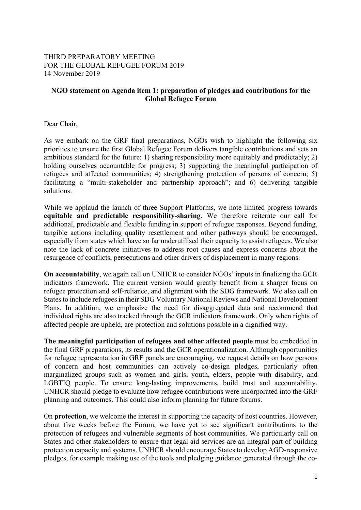## THIRD PREPARATORY MEETING FOR THE GLOBAL REFUGEE FORUM 2019 14 November 2019

## **NGO statement on Agenda item 1: preparation of pledges and contributions for the Global Refugee Forum**

Dear Chair,

As we embark on the GRF final preparations, NGOs wish to highlight the following six priorities to ensure the first Global Refugee Forum delivers tangible contributions and sets an ambitious standard for the future: 1) sharing responsibility more equitably and predictably; 2) holding ourselves accountable for progress; 3) supporting the meaningful participation of refugees and affected communities; 4) strengthening protection of persons of concern; 5) facilitating a "multi-stakeholder and partnership approach"; and 6) delivering tangible solutions.

While we applaud the launch of three Support Platforms, we note limited progress towards **equitable and predictable responsibility-sharing**. We therefore reiterate our call for additional, predictable and flexible funding in support of refugee responses. Beyond funding, tangible actions including quality resettlement and other pathways should be encouraged, especially from states which have so far underutilised their capacity to assist refugees. We also note the lack of concrete initiatives to address root causes and express concerns about the resurgence of conflicts, persecutions and other drivers of displacement in many regions.

**On accountability**, we again call on UNHCR to consider NGOs' inputs in finalizing the GCR indicators framework. The current version would greatly benefit from a sharper focus on refugee protection and self-reliance, and alignment with the SDG framework. We also call on States to include refugees in their SDG Voluntary National Reviews and National Development Plans. In addition, we emphasize the need for disaggregated data and recommend that individual rights are also tracked through the GCR indicators framework. Only when rights of affected people are upheld, are protection and solutions possible in a dignified way.

**The meaningful participation of refugees and other affected people** must be embedded in the final GRF preparations, its results and the GCR operationalization. Although opportunities for refugee representation in GRF panels are encouraging, we request details on how persons of concern and host communities can actively co-design pledges, particularly often marginalized groups such as women and girls, youth, elders, people with disability, and LGBTIQ people. To ensure long-lasting improvements, build trust and accountability, UNHCR should pledge to evaluate how refugee contributions were incorporated into the GRF planning and outcomes. This could also inform planning for future forums.

On **protection**, we welcome the interest in supporting the capacity of host countries. However, about five weeks before the Forum, we have yet to see significant contributions to the protection of refugees and vulnerable segments of host communities. We particularly call on States and other stakeholders to ensure that legal aid services are an integral part of building protection capacity and systems. UNHCR should encourage States to develop AGD-responsive pledges, for example making use of the tools and pledging guidance generated through the co